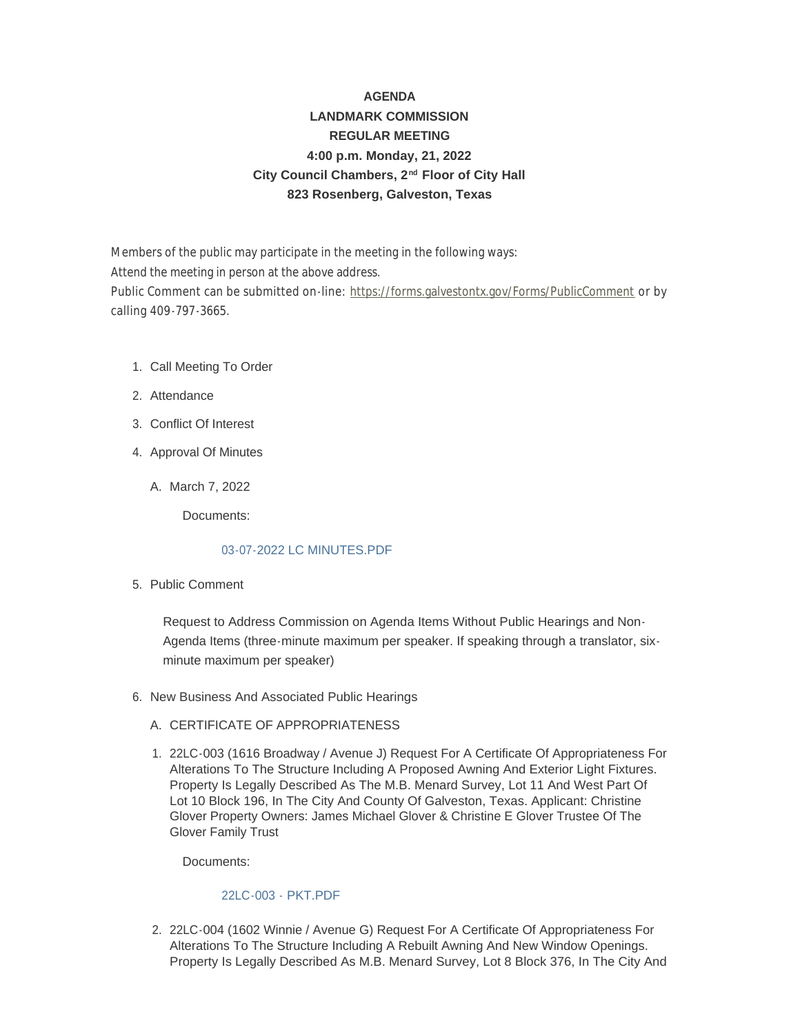# **AGENDA LANDMARK COMMISSION REGULAR MEETING 4:00 p.m. Monday, 21, 2022** City Council Chambers, 2<sup>nd</sup> Floor of City Hall **823 Rosenberg, Galveston, Texas**

Members of the public may participate in the meeting in the following ways: Attend the meeting in person at the above address. Public Comment can be submitted on-line: <https://forms.galvestontx.gov/Forms/PublicComment> or by calling 409-797-3665.

- 1. Call Meeting To Order
- 2. Attendance
- Conflict Of Interest 3.
- 4. Approval Of Minutes
	- A. March 7, 2022

Documents:

# [03-07-2022 LC MINUTES.PDF](https://www.galvestontx.gov/AgendaCenter/ViewFile/Item/13964?fileID=32438)

5. Public Comment

Request to Address Commission on Agenda Items Without Public Hearings and Non-Agenda Items (three-minute maximum per speaker. If speaking through a translator, sixminute maximum per speaker)

- 6. New Business And Associated Public Hearings
	- A. CERTIFICATE OF APPROPRIATENESS
	- 22LC-003 (1616 Broadway / Avenue J) Request For A Certificate Of Appropriateness For 1. Alterations To The Structure Including A Proposed Awning And Exterior Light Fixtures. Property Is Legally Described As The M.B. Menard Survey, Lot 11 And West Part Of Lot 10 Block 196, In The City And County Of Galveston, Texas. Applicant: Christine Glover Property Owners: James Michael Glover & Christine E Glover Trustee Of The Glover Family Trust

Documents:

# [22LC-003 - PKT.PDF](https://www.galvestontx.gov/AgendaCenter/ViewFile/Item/13949?fileID=32423)

2. 22LC-004 (1602 Winnie / Avenue G) Request For A Certificate Of Appropriateness For Alterations To The Structure Including A Rebuilt Awning And New Window Openings. Property Is Legally Described As M.B. Menard Survey, Lot 8 Block 376, In The City And